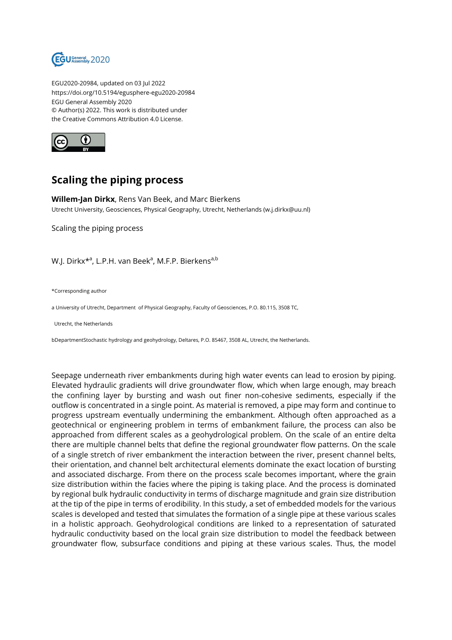

EGU2020-20984, updated on 03 Jul 2022 https://doi.org/10.5194/egusphere-egu2020-20984 EGU General Assembly 2020 © Author(s) 2022. This work is distributed under the Creative Commons Attribution 4.0 License.



## **Scaling the piping process**

**Willem-Jan Dirkx**, Rens Van Beek, and Marc Bierkens Utrecht University, Geosciences, Physical Geography, Utrecht, Netherlands (w.j.dirkx@uu.nl)

Scaling the piping process

W.J. Dirkx\*<sup>a</sup>, L.P.H. van Beek<sup>a</sup>, M.F.P. Bierkens<sup>a,b</sup>

\*Corresponding author

a University of Utrecht, Department of Physical Geography, Faculty of Geosciences, P.O. 80.115, 3508 TC,

Utrecht, the Netherlands

bDepartmentStochastic hydrology and geohydrology, Deltares, P.O. 85467, 3508 AL, Utrecht, the Netherlands.

Seepage underneath river embankments during high water events can lead to erosion by piping. Elevated hydraulic gradients will drive groundwater flow, which when large enough, may breach the confining layer by bursting and wash out finer non-cohesive sediments, especially if the outflow is concentrated in a single point. As material is removed, a pipe may form and continue to progress upstream eventually undermining the embankment. Although often approached as a geotechnical or engineering problem in terms of embankment failure, the process can also be approached from different scales as a geohydrological problem. On the scale of an entire delta there are multiple channel belts that define the regional groundwater flow patterns. On the scale of a single stretch of river embankment the interaction between the river, present channel belts, their orientation, and channel belt architectural elements dominate the exact location of bursting and associated discharge. From there on the process scale becomes important, where the grain size distribution within the facies where the piping is taking place. And the process is dominated by regional bulk hydraulic conductivity in terms of discharge magnitude and grain size distribution at the tip of the pipe in terms of erodibility. In this study, a set of embedded models for the various scales is developed and tested that simulates the formation of a single pipe at these various scales in a holistic approach. Geohydrological conditions are linked to a representation of saturated hydraulic conductivity based on the local grain size distribution to model the feedback between groundwater flow, subsurface conditions and piping at these various scales. Thus, the model